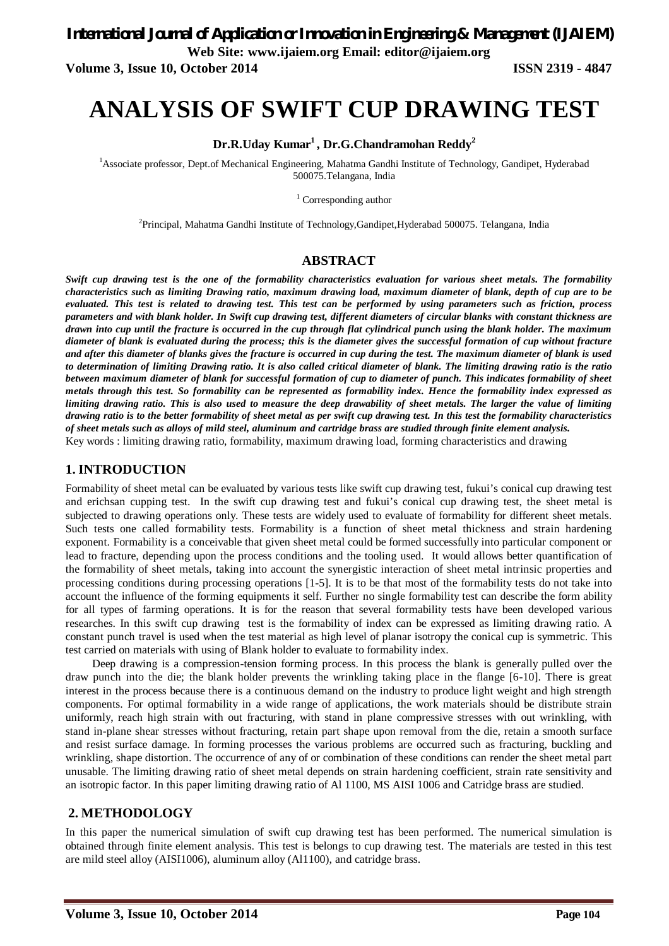**Volume 3, Issue 10, October 2014 ISSN 2319 - 4847**

# **ANALYSIS OF SWIFT CUP DRAWING TEST**

#### **Dr.R.Uday Kumar<sup>1</sup> , Dr.G.Chandramohan Reddy<sup>2</sup>**

<sup>1</sup>Associate professor, Dept.of Mechanical Engineering, Mahatma Gandhi Institute of Technology, Gandipet, Hyderabad 500075.Telangana, India

<sup>1</sup> Corresponding author

<sup>2</sup>Principal, Mahatma Gandhi Institute of Technology,Gandipet,Hyderabad 500075. Telangana, India

#### **ABSTRACT**

*Swift cup drawing test is the one of the formability characteristics evaluation for various sheet metals. The formability characteristics such as limiting Drawing ratio, maximum drawing load, maximum diameter of blank, depth of cup are to be evaluated. This test is related to drawing test. This test can be performed by using parameters such as friction, process parameters and with blank holder. In Swift cup drawing test, different diameters of circular blanks with constant thickness are drawn into cup until the fracture is occurred in the cup through flat cylindrical punch using the blank holder. The maximum diameter of blank is evaluated during the process; this is the diameter gives the successful formation of cup without fracture and after this diameter of blanks gives the fracture is occurred in cup during the test. The maximum diameter of blank is used to determination of limiting Drawing ratio. It is also called critical diameter of blank. The limiting drawing ratio is the ratio between maximum diameter of blank for successful formation of cup to diameter of punch. This indicates formability of sheet metals through this test. So formability can be represented as formability index. Hence the formability index expressed as limiting drawing ratio. This is also used to measure the deep drawability of sheet metals. The larger the value of limiting drawing ratio is to the better formability of sheet metal as per swift cup drawing test. In this test the formability characteristics of sheet metals such as alloys of mild steel, aluminum and cartridge brass are studied through finite element analysis.* Key words : limiting drawing ratio, formability, maximum drawing load, forming characteristics and drawing

#### **1. INTRODUCTION**

Formability of sheet metal can be evaluated by various tests like swift cup drawing test, fukui's conical cup drawing test and erichsan cupping test. In the swift cup drawing test and fukui's conical cup drawing test, the sheet metal is subjected to drawing operations only. These tests are widely used to evaluate of formability for different sheet metals. Such tests one called formability tests. Formability is a function of sheet metal thickness and strain hardening exponent. Formability is a conceivable that given sheet metal could be formed successfully into particular component or lead to fracture, depending upon the process conditions and the tooling used. It would allows better quantification of the formability of sheet metals, taking into account the synergistic interaction of sheet metal intrinsic properties and processing conditions during processing operations [1-5]. It is to be that most of the formability tests do not take into account the influence of the forming equipments it self. Further no single formability test can describe the form ability for all types of farming operations. It is for the reason that several formability tests have been developed various researches. In this swift cup drawing test is the formability of index can be expressed as limiting drawing ratio. A constant punch travel is used when the test material as high level of planar isotropy the conical cup is symmetric. This test carried on materials with using of Blank holder to evaluate to formability index.

 Deep drawing is a compression-tension forming process. In this process the blank is generally pulled over the draw punch into the die; the blank holder prevents the wrinkling taking place in the flange [6-10]. There is great interest in the process because there is a continuous demand on the industry to produce light weight and high strength components. For optimal formability in a wide range of applications, the work materials should be distribute strain uniformly, reach high strain with out fracturing, with stand in plane compressive stresses with out wrinkling, with stand in-plane shear stresses without fracturing, retain part shape upon removal from the die, retain a smooth surface and resist surface damage. In forming processes the various problems are occurred such as fracturing, buckling and wrinkling, shape distortion. The occurrence of any of or combination of these conditions can render the sheet metal part unusable. The limiting drawing ratio of sheet metal depends on strain hardening coefficient, strain rate sensitivity and an isotropic factor. In this paper limiting drawing ratio of Al 1100, MS AISI 1006 and Catridge brass are studied.

#### **2. METHODOLOGY**

In this paper the numerical simulation of swift cup drawing test has been performed. The numerical simulation is obtained through finite element analysis. This test is belongs to cup drawing test. The materials are tested in this test are mild steel alloy (AISI1006), aluminum alloy (Al1100), and catridge brass.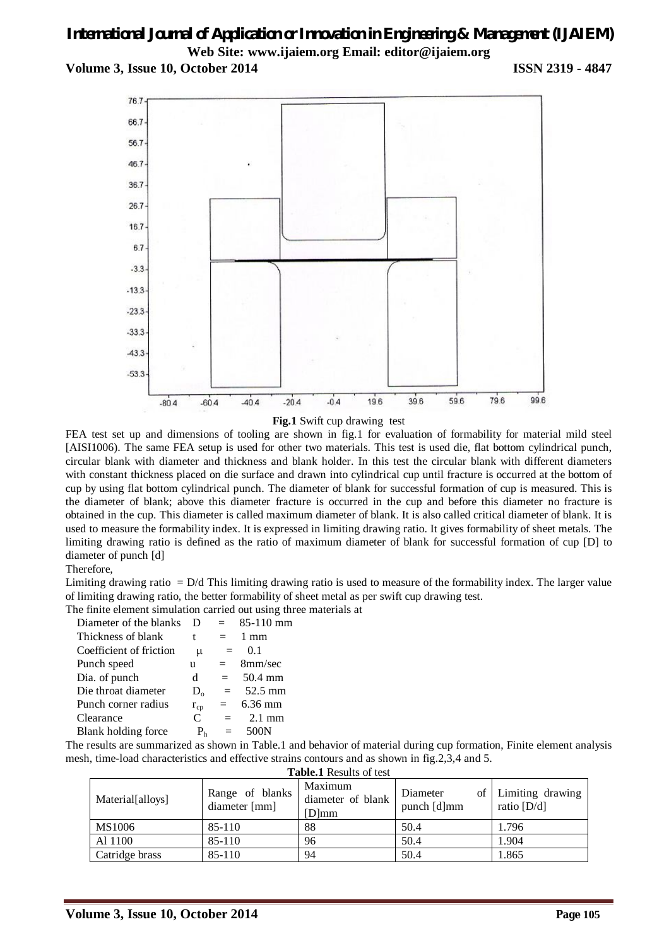**Volume 3, Issue 10, October 2014 ISSN 2319 - 4847**



**Fig.1** Swift cup drawing test

FEA test set up and dimensions of tooling are shown in fig.1 for evaluation of formability for material mild steel [AISI1006). The same FEA setup is used for other two materials. This test is used die, flat bottom cylindrical punch, circular blank with diameter and thickness and blank holder. In this test the circular blank with different diameters with constant thickness placed on die surface and drawn into cylindrical cup until fracture is occurred at the bottom of cup by using flat bottom cylindrical punch. The diameter of blank for successful formation of cup is measured. This is the diameter of blank; above this diameter fracture is occurred in the cup and before this diameter no fracture is obtained in the cup. This diameter is called maximum diameter of blank. It is also called critical diameter of blank. It is used to measure the formability index. It is expressed in limiting drawing ratio. It gives formability of sheet metals. The limiting drawing ratio is defined as the ratio of maximum diameter of blank for successful formation of cup [D] to diameter of punch [d]

#### Therefore,

Limiting drawing ratio  $= D/d$  This limiting drawing ratio is used to measure of the formability index. The larger value of limiting drawing ratio, the better formability of sheet metal as per swift cup drawing test.

The finite element simulation carried out using three materials at

| Diameter of the blanks  | Ð              |     | 85-110 mm        |
|-------------------------|----------------|-----|------------------|
| Thickness of blank      | t              | $=$ | $1 \text{ mm}$   |
| Coefficient of friction | $\mu$          | $=$ | 0.1              |
| Punch speed             | u              | $=$ | 8mm/sec          |
| Dia. of punch           | d.             | $=$ | 50.4 mm          |
| Die throat diameter     | $D_{0}$        | $=$ | 52.5 mm          |
| Punch corner radius     | $r_{cp}$       | $=$ | $6.36$ mm        |
| Clearance               | $\mathcal{C}$  | $=$ | $2.1 \text{ mm}$ |
| Blank holding force     | P <sub>h</sub> | $=$ | 500N             |

The results are summarized as shown in Table.1 and behavior of material during cup formation, Finite element analysis mesh, time-load characteristics and effective strains contours and as shown in fig.2,3,4 and 5.

| <b>Table.1</b> Results of test |                                  |                                          |                         |                                      |  |  |
|--------------------------------|----------------------------------|------------------------------------------|-------------------------|--------------------------------------|--|--|
| Material[alloys]               | Range of blanks<br>diameter [mm] | Maximum<br>diameter of blank<br>$[D]$ mm | Diameter<br>punch [d]mm | of Limiting drawing<br>ratio $[D/d]$ |  |  |
| MS1006                         | 85-110                           | 88                                       | 50.4                    | 1.796                                |  |  |
| Al 1100                        | 85-110                           | 96                                       | 50.4                    | 1.904                                |  |  |
| Catridge brass                 | 85-110                           | 94                                       | 50.4                    | 1.865                                |  |  |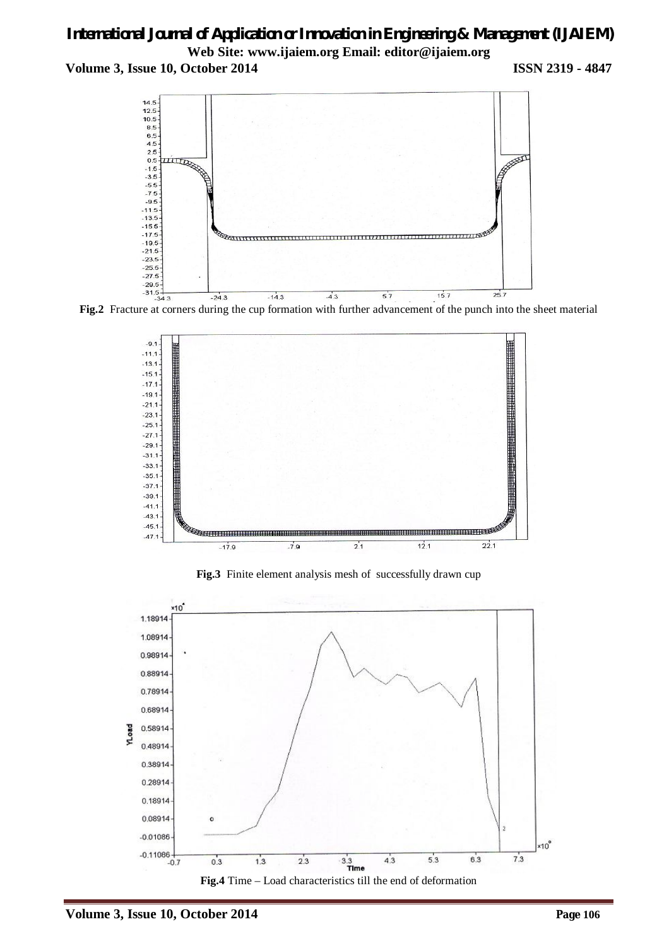**Volume 3, Issue 10, October 2014 ISSN 2319 - 4847**



**Fig.2** Fracture at corners during the cup formation with further advancement of the punch into the sheet material



**Fig.3** Finite element analysis mesh of successfully drawn cup



**Fig.4** Time – Load characteristics till the end of deformation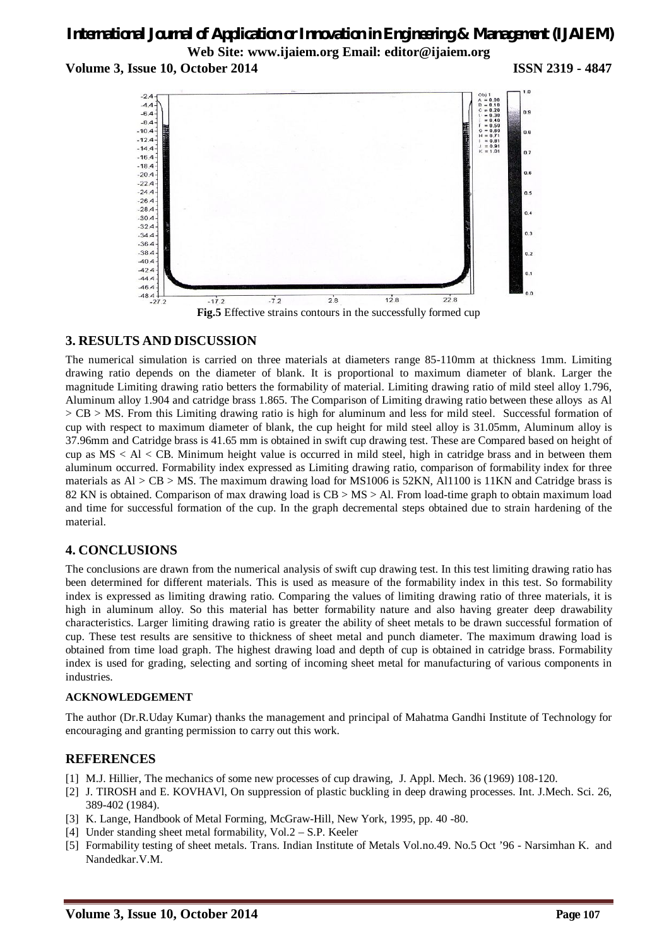**Volume 3, Issue 10, October 2014 ISSN 2319 - 4847**



### **3. RESULTS AND DISCUSSION**

The numerical simulation is carried on three materials at diameters range 85-110mm at thickness 1mm. Limiting drawing ratio depends on the diameter of blank. It is proportional to maximum diameter of blank. Larger the magnitude Limiting drawing ratio betters the formability of material. Limiting drawing ratio of mild steel alloy 1.796, Aluminum alloy 1.904 and catridge brass 1.865. The Comparison of Limiting drawing ratio between these alloys as Al > CB > MS. From this Limiting drawing ratio is high for aluminum and less for mild steel. Successful formation of cup with respect to maximum diameter of blank, the cup height for mild steel alloy is 31.05mm, Aluminum alloy is 37.96mm and Catridge brass is 41.65 mm is obtained in swift cup drawing test. These are Compared based on height of cup as  $MS < Al < CB$ . Minimum height value is occurred in mild steel, high in catridge brass and in between them aluminum occurred. Formability index expressed as Limiting drawing ratio, comparison of formability index for three materials as Al > CB > MS. The maximum drawing load for MS1006 is 52KN, Al1100 is 11KN and Catridge brass is 82 KN is obtained. Comparison of max drawing load is CB > MS > Al. From load-time graph to obtain maximum load and time for successful formation of the cup. In the graph decremental steps obtained due to strain hardening of the material.

### **4. CONCLUSIONS**

The conclusions are drawn from the numerical analysis of swift cup drawing test. In this test limiting drawing ratio has been determined for different materials. This is used as measure of the formability index in this test. So formability index is expressed as limiting drawing ratio. Comparing the values of limiting drawing ratio of three materials, it is high in aluminum alloy. So this material has better formability nature and also having greater deep drawability characteristics. Larger limiting drawing ratio is greater the ability of sheet metals to be drawn successful formation of cup. These test results are sensitive to thickness of sheet metal and punch diameter. The maximum drawing load is obtained from time load graph. The highest drawing load and depth of cup is obtained in catridge brass. Formability index is used for grading, selecting and sorting of incoming sheet metal for manufacturing of various components in industries.

#### **ACKNOWLEDGEMENT**

The author (Dr.R.Uday Kumar) thanks the management and principal of Mahatma Gandhi Institute of Technology for encouraging and granting permission to carry out this work.

### **REFERENCES**

- [1] M.J. Hillier, The mechanics of some new processes of cup drawing, J. Appl. Mech. 36 (1969) 108-120.
- [2] J. TIROSH and E. KOVHAVl, On suppression of plastic buckling in deep drawing processes. Int. J.Mech. Sci. 26, 389-402 (1984).
- [3] K. Lange, Handbook of Metal Forming, McGraw-Hill, New York, 1995, pp. 40 -80.
- [4] Under standing sheet metal formability, Vol.2 S.P. Keeler
- [5] Formability testing of sheet metals. Trans. Indian Institute of Metals Vol.no.49. No.5 Oct '96 Narsimhan K. and Nandedkar.V.M.